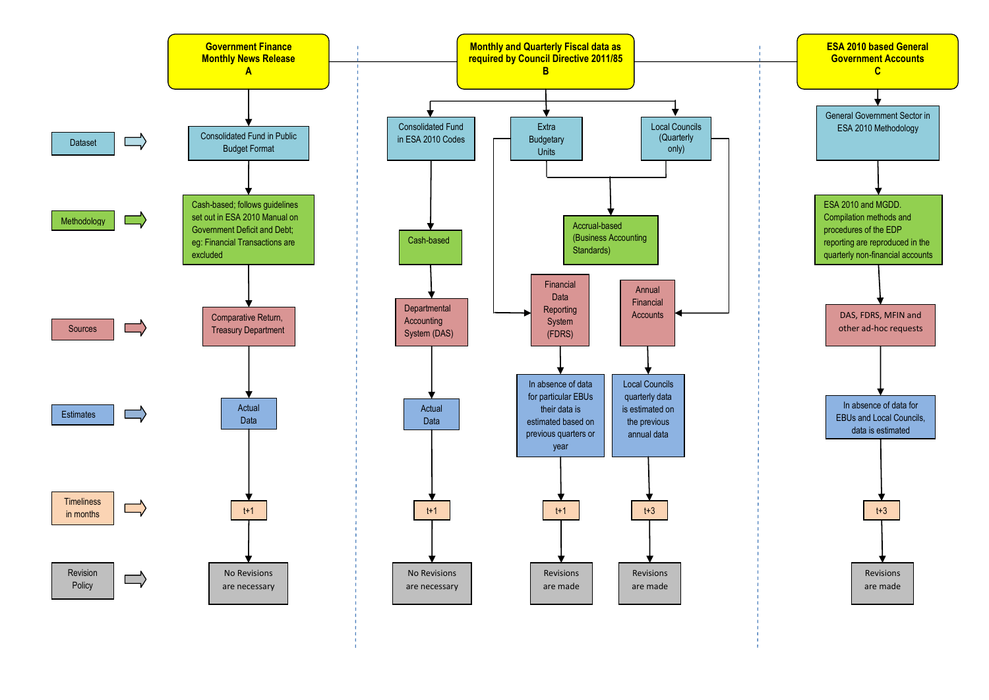